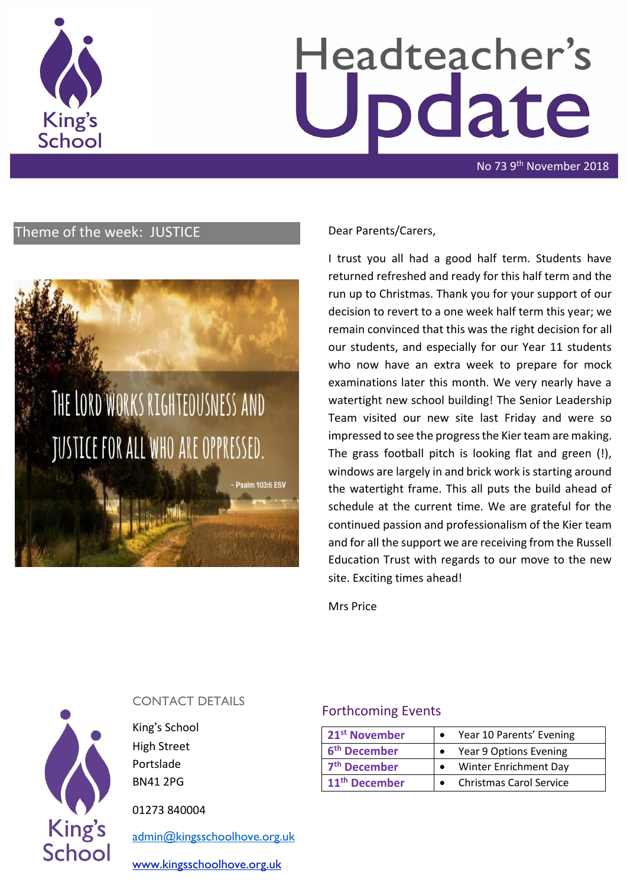

# Headteacher's odate

No 73 9th November 2018

# Theme of the week: JUSTICE Dear Parents/Carers,



I trust you all had a good half term. Students have returned refreshed and ready for this half term and the run up to Christmas. Thank you for your support of our decision to revert to a one week half term this year; we remain convinced that this was the right decision for all our students, and especially for our Year 11 students who now have an extra week to prepare for mock examinations later this month. We very nearly have a watertight new school building! The Senior Leadership Team visited our new site last Friday and were so impressed to see the progress the Kier team are making. The grass football pitch is looking flat and green (!), windows are largely in and brick work is starting around the watertight frame. This all puts the build ahead of schedule at the current time. We are grateful for the continued passion and professionalism of the Kier team and for all the support we are receiving from the Russell Education Trust with regards to our move to the new site. Exciting times ahead!

Mrs Price



#### CONTACT DETAILS

King's School High Street Portslade BN41 2PG

01273 840004

[admin@kingsschoolhove.org.uk](mailto:admin@kingsschoolhove.org.uk)

[www.kingsschoolhove.org.uk](http://www.kingsschoolhove.org.uk/)

#### Forthcoming Events

| 21 <sup>st</sup> November | Year 10 Parents' Evening       |
|---------------------------|--------------------------------|
| 6 <sup>th</sup> December  | Year 9 Options Evening         |
| 7 <sup>th</sup> December  | Winter Enrichment Day          |
| 11 <sup>th</sup> December | <b>Christmas Carol Service</b> |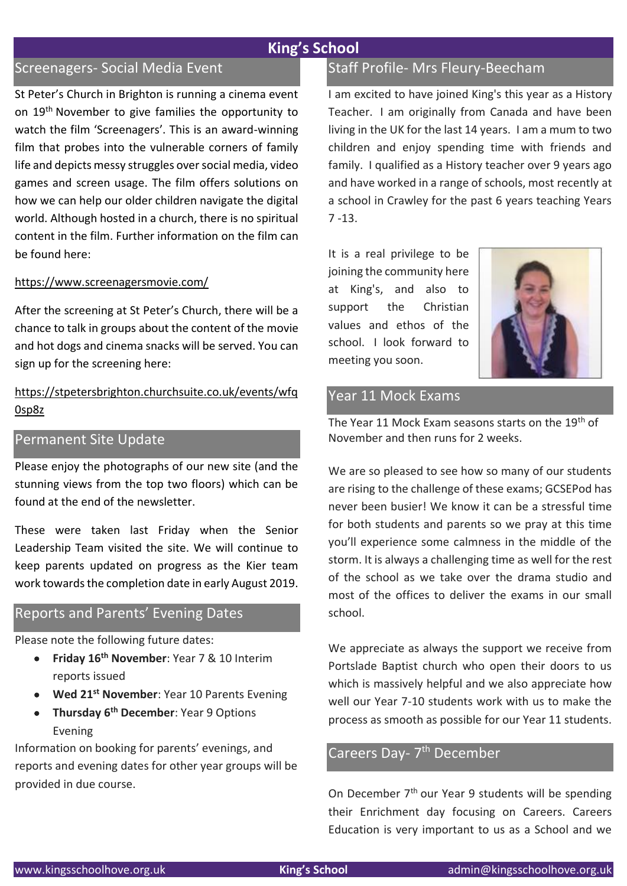# Screenagers- Social Media Event

St Peter's Church in Brighton is running a cinema event on 19<sup>th</sup> November to give families the opportunity to watch the film 'Screenagers'. This is an award-winning film that probes into the vulnerable corners of family life and depicts messy struggles over social media, video games and screen usage. The film offers solutions on how we can help our older children navigate the digital world. Although hosted in a church, there is no spiritual content in the film. Further information on the film can be found here:

#### <https://www.screenagersmovie.com/>

After the screening at St Peter's Church, there will be a chance to talk in groups about the content of the movie and hot dogs and cinema snacks will be served. You can sign up for the screening here:

#### [https://stpetersbrighton.churchsuite.co.uk/events/wfq](https://stpetersbrighton.churchsuite.co.uk/events/wfq0sp8z) [0sp8z](https://stpetersbrighton.churchsuite.co.uk/events/wfq0sp8z)

#### Permanent Site Update

Please enjoy the photographs of our new site (and the stunning views from the top two floors) which can be found at the end of the newsletter.

These were taken last Friday when the Senior Leadership Team visited the site. We will continue to keep parents updated on progress as the Kier team work towards the completion date in early August 2019.

#### Reports and Parents' Evening Dates

Please note the following future dates:

- **Friday 16th November**: Year 7 & 10 Interim reports issued
- **Wed 21st November**: Year 10 Parents Evening
- **Thursday 6th December**: Year 9 Options Evening

Information on booking for parents' evenings, and reports and evening dates for other year groups will be provided in due course.

# Staff Profile- Mrs Fleury-Beecham

I am excited to have joined King's this year as a History Teacher. I am originally from Canada and have been living in the UK for the last 14 years. I am a mum to two children and enjoy spending time with friends and family. I qualified as a History teacher over 9 years ago and have worked in a range of schools, most recently at a school in Crawley for the past 6 years teaching Years 7 -13.

It is a real privilege to be joining the community here at King's, and also to support the Christian values and ethos of the school. I look forward to meeting you soon.



#### Year 11 Mock Exams

The Year 11 Mock Exam seasons starts on the 19th of November and then runs for 2 weeks.

We are so pleased to see how so many of our students are rising to the challenge of these exams; GCSEPod has never been busier! We know it can be a stressful time for both students and parents so we pray at this time you'll experience some calmness in the middle of the storm. It is always a challenging time as well for the rest of the school as we take over the drama studio and most of the offices to deliver the exams in our small school.

We appreciate as always the support we receive from Portslade Baptist church who open their doors to us which is massively helpful and we also appreciate how well our Year 7-10 students work with us to make the process as smooth as possible for our Year 11 students.

# Careers Day- 7<sup>th</sup> December

On December 7th our Year 9 students will be spending their Enrichment day focusing on Careers. Careers Education is very important to us as a School and we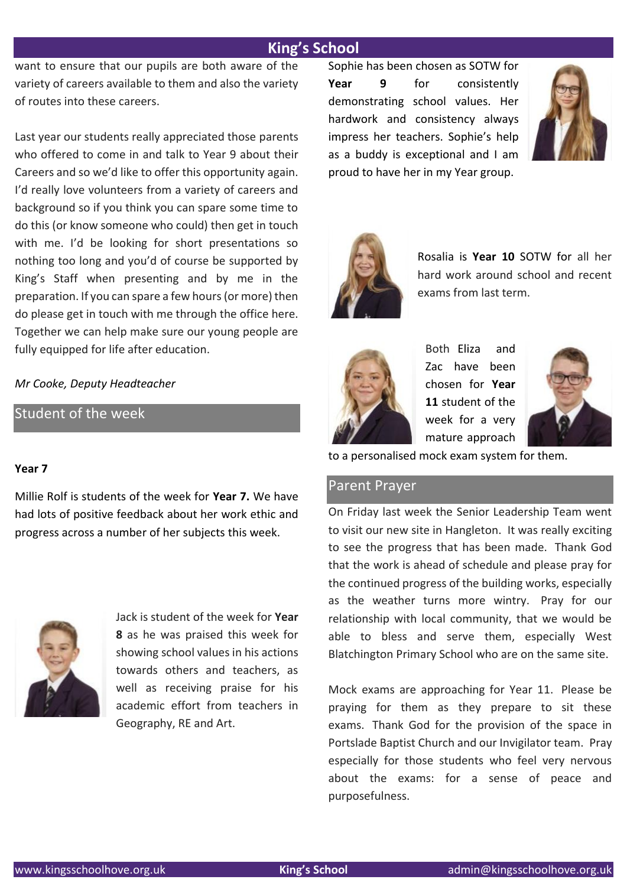want to ensure that our pupils are both aware of the variety of careers available to them and also the variety of routes into these careers.

Last year our students really appreciated those parents who offered to come in and talk to Year 9 about their Careers and so we'd like to offer this opportunity again. I'd really love volunteers from a variety of careers and background so if you think you can spare some time to do this (or know someone who could) then get in touch with me. I'd be looking for short presentations so nothing too long and you'd of course be supported by King's Staff when presenting and by me in the preparation. If you can spare a few hours (or more) then do please get in touch with me through the office here. Together we can help make sure our young people are fully equipped for life after education.

*Mr Cooke, Deputy Headteacher*

Student of the week

#### **Year 7**

Millie Rolf is students of the week for **Year 7.** We have had lots of positive feedback about her work ethic and progress across a number of her subjects this week.



Jack is student of the week for **Year 8** as he was praised this week for showing school values in his actions towards others and teachers, as well as receiving praise for his academic effort from teachers in Geography, RE and Art.

Sophie has been chosen as SOTW for **Year 9** for consistently demonstrating school values. Her hardwork and consistency always impress her teachers. Sophie's help as a buddy is exceptional and I am proud to have her in my Year group.





Rosalia is **Year 10** SOTW for all her hard work around school and recent exams from last term.



Both Eliza and Zac have been chosen for **Year 11** student of the week for a very mature approach



to a personalised mock exam system for them.

#### Parent Prayer

On Friday last week the Senior Leadership Team went to visit our new site in Hangleton. It was really exciting to see the progress that has been made. Thank God that the work is ahead of schedule and please pray for the continued progress of the building works, especially as the weather turns more wintry. Pray for our relationship with local community, that we would be able to bless and serve them, especially West Blatchington Primary School who are on the same site.

Mock exams are approaching for Year 11. Please be praying for them as they prepare to sit these exams. Thank God for the provision of the space in Portslade Baptist Church and our Invigilator team. Pray especially for those students who feel very nervous about the exams: for a sense of peace and purposefulness.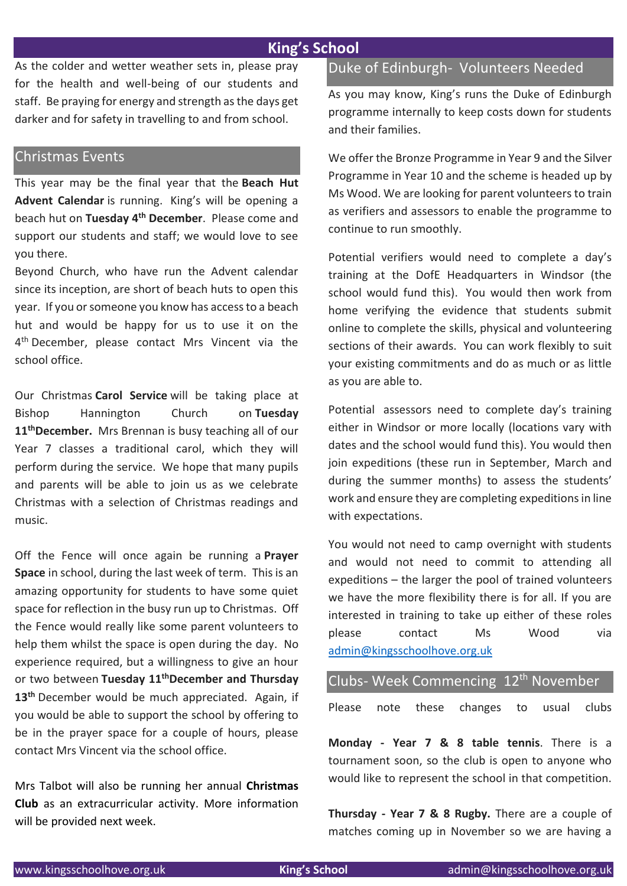As the colder and wetter weather sets in, please pray for the health and well-being of our students and staff. Be praying for energy and strength as the days get darker and for safety in travelling to and from school.

#### Christmas Events

This year may be the final year that the **Beach Hut Advent Calendar** is running. King's will be opening a beach hut on **Tuesday 4th December**. Please come and support our students and staff; we would love to see you there.

Beyond Church, who have run the Advent calendar since its inception, are short of beach huts to open this year. If you or someone you know has access to a beach hut and would be happy for us to use it on the 4<sup>th</sup> December, please contact Mrs Vincent via the school office.

Our Christmas **Carol Service** will be taking place at Bishop Hannington Church on **Tuesday 11thDecember.** Mrs Brennan is busy teaching all of our Year 7 classes a traditional carol, which they will perform during the service. We hope that many pupils and parents will be able to join us as we celebrate Christmas with a selection of Christmas readings and music.

Off the Fence will once again be running a **Prayer Space** in school, during the last week of term. This is an amazing opportunity for students to have some quiet space for reflection in the busy run up to Christmas. Off the Fence would really like some parent volunteers to help them whilst the space is open during the day. No experience required, but a willingness to give an hour or two between **Tuesday 11thDecember and Thursday 13th** December would be much appreciated. Again, if you would be able to support the school by offering to be in the prayer space for a couple of hours, please contact Mrs Vincent via the school office.

Mrs Talbot will also be running her annual **Christmas Club** as an extracurricular activity. More information will be provided next week.

## Duke of Edinburgh- Volunteers Needed

As you may know, King's runs the Duke of Edinburgh programme internally to keep costs down for students and their families.

We offer the Bronze Programme in Year 9 and the Silver Programme in Year 10 and the scheme is headed up by Ms Wood. We are looking for parent volunteers to train as verifiers and assessors to enable the programme to continue to run smoothly.

Potential verifiers would need to complete a day's training at the DofE Headquarters in Windsor (the school would fund this). You would then work from home verifying the evidence that students submit online to complete the skills, physical and volunteering sections of their awards. You can work flexibly to suit your existing commitments and do as much or as little as you are able to.

Potential assessors need to complete day's training either in Windsor or more locally (locations vary with dates and the school would fund this). You would then join expeditions (these run in September, March and during the summer months) to assess the students' work and ensure they are completing expeditions in line with expectations.

You would not need to camp overnight with students and would not need to commit to attending all expeditions – the larger the pool of trained volunteers we have the more flexibility there is for all. If you are interested in training to take up either of these roles please contact Ms Wood via [admin@kingsschoolhove.org.uk](mailto:admin@kingsschoolhove.org.uk)

|  | Clubs- Week Commencing 12 <sup>th</sup> November |  |  |
|--|--------------------------------------------------|--|--|
|  | Please note these changes to usual clubs         |  |  |

**Monday - Year 7 & 8 table tennis**. There is a tournament soon, so the club is open to anyone who would like to represent the school in that competition.

**Thursday - Year 7 & 8 Rugby.** There are a couple of matches coming up in November so we are having a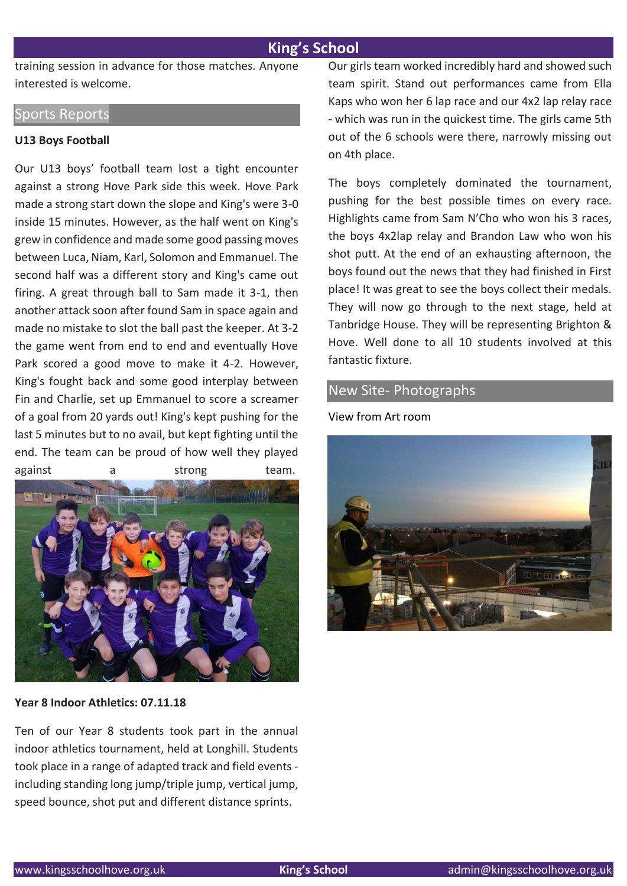training session in advance for those matches. Anyone interested is welcome.

# Sports Reports

#### **U13 Boys Football**

Our U13 boys' football team lost a tight encounter against a strong Hove Park side this week. Hove Park made a strong start down the slope and King's were 3-0 inside 15 minutes. However, as the half went on King's grew in confidence and made some good passing moves between Luca, Niam, Karl, Solomon and Emmanuel. The second half was a different story and King's came out firing. A great through ball to Sam made it 3-1, then another attack soon after found Sam in space again and made no mistake to slot the ball past the keeper. At 3-2 the game went from end to end and eventually Hove Park scored a good move to make it 4-2. However, King's fought back and some good interplay between Fin and Charlie, set up Emmanuel to score a screamer of a goal from 20 yards out! King's kept pushing for the last 5 minutes but to no avail, but kept fighting until the end. The team can be proud of how well they played against a strong team.



**Year 8 Indoor Athletics: 07.11.18**

Ten of our Year 8 students took part in the annual indoor athletics tournament, held at Longhill. Students took place in a range of adapted track and field events including standing long jump/triple jump, vertical jump, speed bounce, shot put and different distance sprints.

Our girls team worked incredibly hard and showed such team spirit. Stand out performances came from Ella Kaps who won her 6 lap race and our 4x2 lap relay race - which was run in the quickest time. The girls came 5th out of the 6 schools were there, narrowly missing out on 4th place.

The boys completely dominated the tournament, pushing for the best possible times on every race. Highlights came from Sam N'Cho who won his 3 races, the boys 4x2lap relay and Brandon Law who won his shot putt. At the end of an exhausting afternoon, the boys found out the news that they had finished in First place! It was great to see the boys collect their medals. They will now go through to the next stage, held at Tanbridge House. They will be representing Brighton & Hove. Well done to all 10 students involved at this fantastic fixture.

#### New Site- Photographs

View from Art room